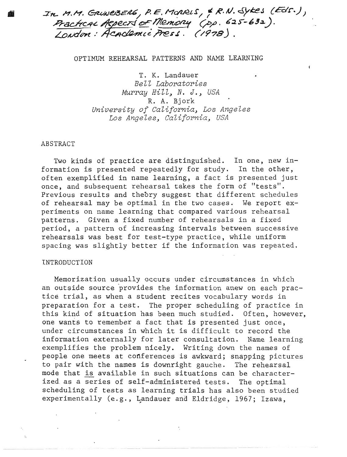In M.M. GRUNEBERG, P.E. MORRIS, & R.N. Sykes (Eds.),<br>Practical Aspects of Memory (pp. 625-632).<br>London: Academic Press. (1978).

### OPTIMUM REHEARSAL PATTERNS AND NAME LEARNING

T. K. Landauer *Belt Laboratories Murray Hill, N. J., USA* R. A. Bjork *University of California*, Los Angeles *Los Angeles, California, USA* 

#### ABSTRACT

Two kinds of practice are distinguished. In one, new information is presented repeatedly for study. In the other, often exemplified in name learning, a fact is presented just once, and subsequent rehearsal takes the form of "tests". Previous results and theory suggest that different schedules of rehearsal may be optimal in the two cases. We report experiments on name learning that compared various rehearsal patterns. Given a fixed number of rehearsals in a fixed period, a pattern of increasing intervals between successive rehearsals was best for test-type practice, while uniform spacing was slightly better if the information was repeated.

~.

#### INTRODUCTION

Memorization usually occurs under circumstances in which an outside source provides the information anew on each practice trial, as when a student recites vocabulary words in preparation for a test. The proper scheduling of practice in this kind of situation has been much studied. Often, however, one wants to remember a fact that is presented just once, under circumstances in which it is difficult to record the information externally for later consultation. Name learning exemplifies the problem nicely. Writing down the names of people one meets at conferences is awkward; snapping pictures to pair with the names is downright gauche. The rehearsal exemplifies the problem fitcely. Writing down the hames of<br>people one meets at conferences is awkward; snapping picture<br>to pair with the names is downright gauche. The rehearsal<br>mode that is available in such situations ca ized. as a series of self-administered tests. The optimal scheduling of tests as learning trials has also been studied experimentally (e.g., Landauer and Eldridge, 1967; Izawa,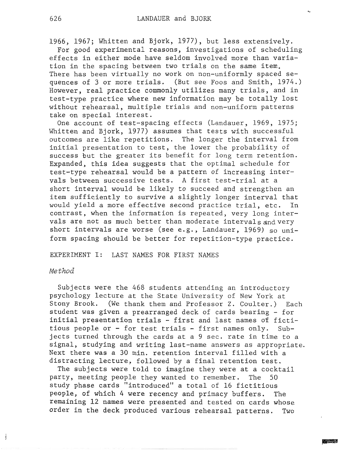1966, 1967; Whitten and Bjork, 1977), but less extensively.

For good experimental reasons, investigations of scheduling effects in either mode have seldom involved more than variation in the spacing between two trials on the same item. There has been virtually no work on non-uniformly spaced sequences of 3 or more trials. (But see Foos and Smith, 1974.) However, real practice commonly utilizes many trials, and in test-type practice where new information may be totally lost without rehearsal, multiple trials and non-uniform patterns take on special interest.

One account of test-spacing effects (Landauer, 1969, 1975; Whitten and Bjork, 1977) assumes that tests with successful outcomes are like repetitions. The longer the interval from initial presentation to test, the lower the probability of success but the greater its benefit for long term retention. Expanded, this idea suggests that the optimal schedule for test-type rehearsal would be a pattern of increasing intervals between successive tests. A first test-trial at a short interval would be likely to succeed and strengthen an item sufficiently to survive a slightly longer interval that would yield a more effective second practice trial, etc. In contrast, when the information is repeated, very long intervals are not as much better than moderate intervals and very short intervals are worse (see e.g., Landauer, 1969) so uniform spacing should be better for repetition-type practice.

EXPERIMENT I: LAST NAMES FOR FIRST NAMES

# *Method*

Ì

Subjects were the 468 students attending an introductory psychology lecture at the State University of New York at Stony Brook. (We thank them and Professor Z. Coulter.) Each student was given a prearranged deck of cards bearing - for initial presentation trials - first and last names of fictitious people or - for test trials - first names only. Subjects turned through the cards at a 9 sec. rate in time to a signal, studying and writing last-name answers as appropriate. Next there was a 30 min. retention interval filled with a distracting lecture, followed by a final retention test.

The subjects were told to imagine they were at a cocktail party, meeting people they wanted to remember. The 50 study phase cards "introduced" a total of 16 fictitious people, of which 4 were recency and primacy buffers. The remaining 12 names were presented and tested on cards whose order in the deck produced various rehearsal patterns. Two

 $\sim$  where  $\sim$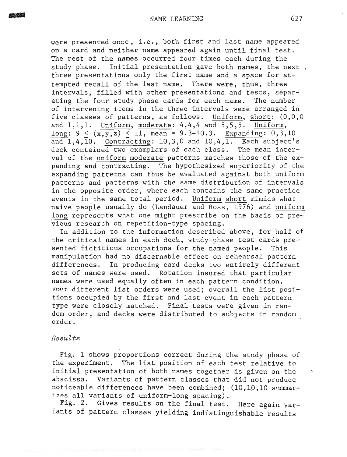were presented once, i.e., both first and last name appeared on a card and neither name appeared again until final test. The rest of the names occurred four times each during the study phase. Initial presentation gave both names, the next, three presentations only the first name and a space for attempted recall of the last name. There were, thus, three intervals, filled with other presentations and tests, separating the four study phase cards for each name. The number of intervening items in the three intervals were arranged in five classes of patterns, as follows. Uniform, short: (0,0,0 and 1,1,1. Uniform, moderate: 4,4,4 and *5,5,5.* Uniform, long:  $9 < (x,y,z) < 11$ , mean = 9.3-10.3. Expanding: 0,3,10 and  $1,4,\overline{10}$ . Contracting: 10,3,0 and 10,4, $\overline{11}$ . Each subject's deck contained two examplars of each class. The mean interval of the uniform moderate patterns matches those of the expanding and contracting. The hypothesized superiority of the expanding patterns can thus be evaluated against both uniform patterns and patterns with the same distribution of intervals in the opposite order, where each contains the same practice . events in the same total period. Uniform short mimics what naive people usually do (Landauer and Ross, 1976) and uniform long represents what one might prescribe on the basis of previous research on repetition-type spacing.

In addition to the information described above, for half of the critical names in each deck, study-phase test cards presented fictitious occupations for the named people. This manipulation had no discernable effect on rehearsal pattern differences. In producing card decks two entirely different sets of names were used. Rotation insured that particular names were used equally often in each pattern condition. Four different list orders were used; overall the list positions occupied by the first and last event in each pattern type were closely matched. Final tests were given in random order, and decks were distributed to subjects in random order.

# Results

Fig. 1 shows proportions correct during the study phase of the experiment. The list position of each test relative to initial presentation of both names together is given on the abscissa. Variants of pattern classes that did not produce noticeable differences have been combined;  $(10, 10, 10$  summarizes all variants of uniform-long spacing).

Fig. 2. Gives results on the final test. Here again variants of pattern classes yielding indistinguishable results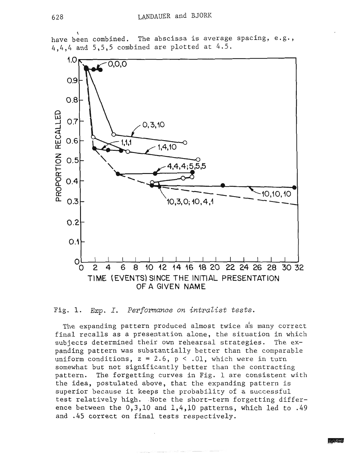

 $\mathbf{r}$ have been combined. The abscissa is average spacing, e.g., 4,4,4 and 5,5,5 combined are plotted at 4.5.

Fig. 1. Exp. I. Performance on *intralist* tests.

The expanding pattern produced almost twice as many correct final recalls as a presentation alone, the situation in which subjects determined their own rehearsal strategies. The expanding pattern was substantially better than the comparable uniform conditions,  $z = 2.6$ ,  $p < .01$ , which were in turn somewhat but not significantly better than the contracting pattern. The forgetting curves in Fig. 1 are consistent with the idea, postulated above, that the expanding pattern is superior because it keeps the probability of a successful test relatively high. Note the short-term forgetting difference between the **0,3,10** and 1,4,10 **patterns, which** led to .49 and .45 correct on final tests respectively.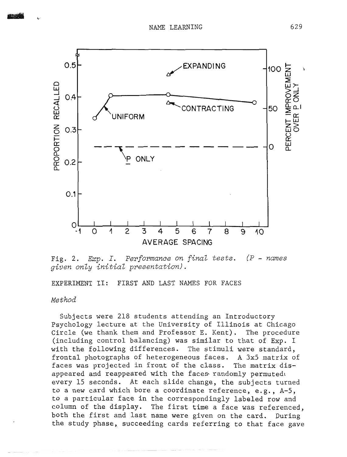

Fig. **2.** *Exp.* I. **Performance on final tests.** (P - **names g-iven only** *initial* **presentation).** 

EXPERIMENT **11:** FIRST AND LAST NAMES **FOR** FACES

# *Method*

Subjects were 218 students attending an Introductory Psychology lecture at the University of Illinois at Chicago Circle (we thank them and Professor E. Kent). The procedure (including control balancing) was similar to that of Exp. I with the following differences. The stimuli were standard, frontal photographs of heterogeneous faces. **A** 3x5 matrix of faces was projected in front of the class. The matrix disappeared and reappeared with the faces randomly permutede every 15 seconds. At each slide change, the subjects turned to a new card which bore a coordinate reference, e.g., A-5, to a particular face in the correspondingly labeled row and column of the display. The first time a face was referenced, both the first and last name were given on the card. During the study phase, succeeding cards referring to that face gave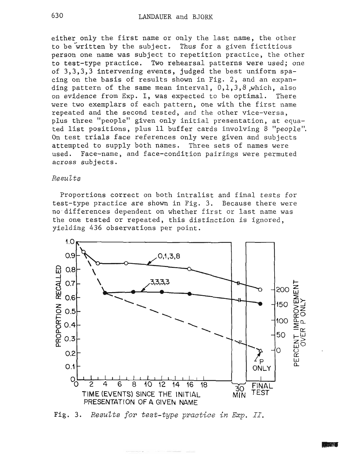either only the first name or only the last name, the other to be written by the subject. Thus for a given fictitious person one name was subject to repetition practice, the other to test-type practice. Two rehearsal patterns were used; one of 3,3,3,3 intervening events, judged the best uniform spacing on the basis of results shown in Fig. 2, and an expanding pattern of the same mean interval, 0,1,3,8,which, also on evidence from Exp. I, was expected to be optimal. There were two exemplars of each pattern, one with the first name repeated and the second tested, and the other vice-versa, plus three "people" given only initial presentation, at equated list positions, plus 11 buffer cards involving 8 "people". On test trials face references only were given and subjects attempted to supply both names. Three sets of names were used. Face-name, and face-condition pairings were permuted across subjects.

Proportions correct on both intralist and final tests for test-type practice are shown in Fig. **3.** Because there were no differences dependent on whether first or last name was the one tested or repeated, this distinction is ignored, yielding 436 observations per point.



Fig. **3. Results** for **test-type practice** h *Exp.* II.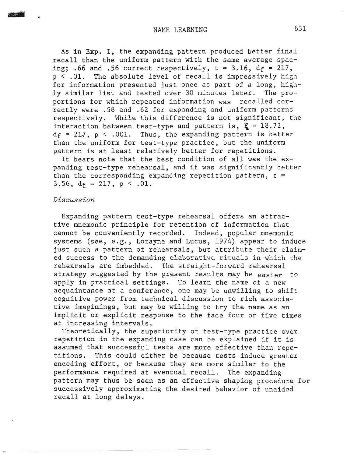As in **Exp.** I, the expanding pattern produced better final recall than the uniform pattern with the same average spacing; .66 and .56 correct respectively,  $t = 3.16$ ,  $d_f = 217$ , p < **.01.** The absolute level of recall is impressively high for information presented just once as part of a long, highly similar list and tested over 30 minutes later. The proportions for which repeated information was recalled correctly were .58 and .62 for expanding and uniform patterns respectively. While this difference is not significant, the interaction between test-type and pattern is,  $F = 18.72$ ,  $d_f = 217$ ,  $p \le .001$ . Thus, the expanding pattern is better than the uniform for test-type practice, but the uniform pattern is at least relatively better for repetitions.

It bears note that the best condition of all was the expanding test-type rehearsal, and it was significantly better than the corresponding expanding repetition pattern,  $t =$  $3.56$ ,  $d_f = 217$ ,  $p < .01$ .

### Discussion

Expanding pattern test-type rehearsal offers an attractive mnemonic principle for retention of information that cannot be conveniently recorded. Indeed, popular mnemonic systems (see, e.g., Lorayne and Lucus, 1974) appear to induce just such a pattern of rehearsals, but attribute their claimed success to the demanding elaborative rituals in which the rehearsals are imbedded. The straight-forward rehearsal strategy suggested by the present results may be easier to apply in practical settings. To learn the name of a new acquaintance at a conference, one may be unwilling to shift cognitive power from technical discussion to rich associative imaginings, but may be willing to try the name as an implicit or explicit response to the face four or five times at increasing intervals.

Theoretically, the superiority of test-type practice over repetition in the expanding case can be explained if it is assumed that successful tests are more effective than repetitions. This could either be because tests induce greater encoding effort, or because they are more similar to the performance required at eventual recall. The expanding pattern may thus be seen as an effective shaping procedure for successively approximating the desired behavior of unaided recall at long delays.